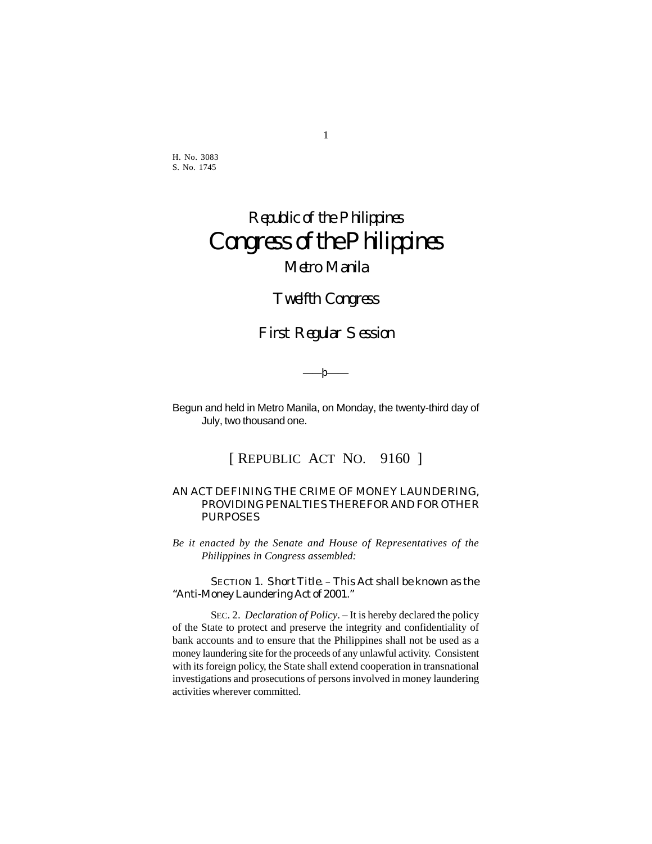H. No. 3083 S. No. 1745

# Republic of the Philippines Congress of the Philippines Metro Manila

# Twelfth Congress

# First Regular Session

*——*þ——

Begun and held in Metro Manila, on Monday, the twenty-third day of July, two thousand one.

[ REPUBLIC ACT NO. 9160 ]

## AN ACT DEFINING THE CRIME OF MONEY LAUNDERING, PROVIDING PENALTIES THEREFOR AND FOR OTHER PURPOSES

*Be it enacted by the Senate and House of Representatives of the Philippines in Congress assembled:*

SECTION 1. *Short Title*. – This Act shall be known as the "Anti-Money Laundering Act of 2001."

SEC. 2. *Declaration of Policy*. – It is hereby declared the policy of the State to protect and preserve the integrity and confidentiality of bank accounts and to ensure that the Philippines shall not be used as a money laundering site for the proceeds of any unlawful activity. Consistent with its foreign policy, the State shall extend cooperation in transnational investigations and prosecutions of persons involved in money laundering activities wherever committed.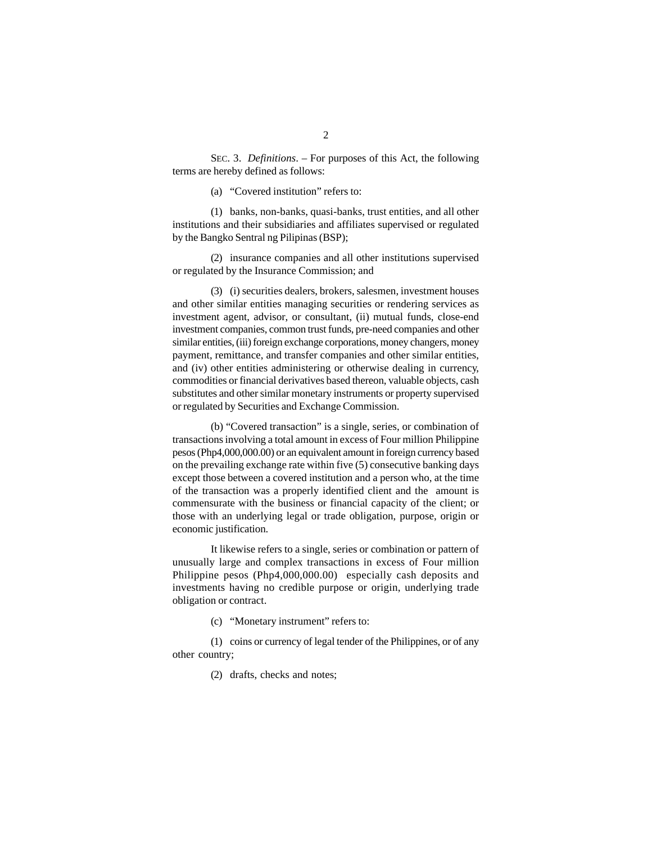SEC. 3. *Definitions*. – For purposes of this Act, the following terms are hereby defined as follows:

(a) "Covered institution" refers to:

(1) banks, non-banks, quasi-banks, trust entities, and all other institutions and their subsidiaries and affiliates supervised or regulated by the Bangko Sentral ng Pilipinas (BSP);

(2) insurance companies and all other institutions supervised or regulated by the Insurance Commission; and

(3) (i) securities dealers, brokers, salesmen, investment houses and other similar entities managing securities or rendering services as investment agent, advisor, or consultant, (ii) mutual funds, close-end investment companies, common trust funds, pre-need companies and other similar entities, (iii) foreign exchange corporations, money changers, money payment, remittance, and transfer companies and other similar entities, and (iv) other entities administering or otherwise dealing in currency, commodities or financial derivatives based thereon, valuable objects, cash substitutes and other similar monetary instruments or property supervised or regulated by Securities and Exchange Commission.

(b) "Covered transaction" is a single, series, or combination of transactions involving a total amount in excess of Four million Philippine pesos (Php4,000,000.00) or an equivalent amount in foreign currency based on the prevailing exchange rate within five (5) consecutive banking days except those between a covered institution and a person who, at the time of the transaction was a properly identified client and the amount is commensurate with the business or financial capacity of the client; or those with an underlying legal or trade obligation, purpose, origin or economic justification.

It likewise refers to a single, series or combination or pattern of unusually large and complex transactions in excess of Four million Philippine pesos (Php4,000,000.00) especially cash deposits and investments having no credible purpose or origin, underlying trade obligation or contract.

(c) "Monetary instrument" refers to:

(1) coins or currency of legal tender of the Philippines, or of any other country;

(2) drafts, checks and notes;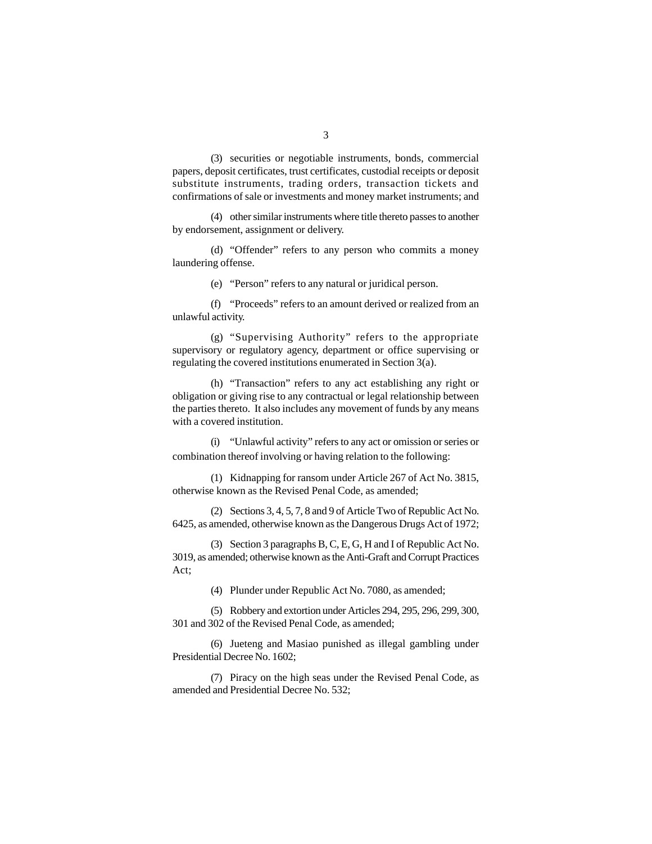(3) securities or negotiable instruments, bonds, commercial papers, deposit certificates, trust certificates, custodial receipts or deposit substitute instruments, trading orders, transaction tickets and confirmations of sale or investments and money market instruments; and

(4) other similar instruments where title thereto passes to another by endorsement, assignment or delivery.

(d) "Offender" refers to any person who commits a money laundering offense.

(e) "Person" refers to any natural or juridical person.

(f) "Proceeds" refers to an amount derived or realized from an unlawful activity.

(g) "Supervising Authority" refers to the appropriate supervisory or regulatory agency, department or office supervising or regulating the covered institutions enumerated in Section 3(a).

(h) "Transaction" refers to any act establishing any right or obligation or giving rise to any contractual or legal relationship between the parties thereto. It also includes any movement of funds by any means with a covered institution.

(i) "Unlawful activity" refers to any act or omission or series or combination thereof involving or having relation to the following:

(1) Kidnapping for ransom under Article 267 of Act No. 3815, otherwise known as the Revised Penal Code, as amended;

(2) Sections 3, 4, 5, 7, 8 and 9 of Article Two of Republic Act No. 6425, as amended, otherwise known as the Dangerous Drugs Act of 1972;

(3) Section 3 paragraphs B, C, E, G, H and I of Republic Act No. 3019, as amended; otherwise known as the Anti-Graft and Corrupt Practices Act;

(4) Plunder under Republic Act No. 7080, as amended;

(5) Robbery and extortion under Articles 294, 295, 296, 299, 300, 301 and 302 of the Revised Penal Code, as amended;

(6) Jueteng and Masiao punished as illegal gambling under Presidential Decree No. 1602;

(7) Piracy on the high seas under the Revised Penal Code, as amended and Presidential Decree No. 532;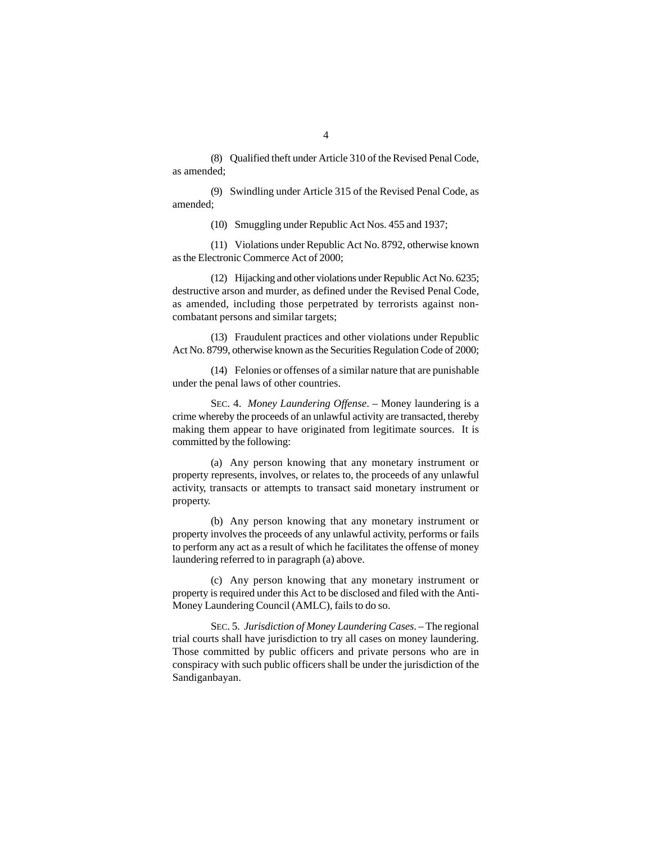(8) Qualified theft under Article 310 of the Revised Penal Code, as amended;

(9) Swindling under Article 315 of the Revised Penal Code, as amended;

(10) Smuggling under Republic Act Nos. 455 and 1937;

(11) Violations under Republic Act No. 8792, otherwise known as the Electronic Commerce Act of 2000;

(12) Hijacking and other violations under Republic Act No. 6235; destructive arson and murder, as defined under the Revised Penal Code, as amended, including those perpetrated by terrorists against noncombatant persons and similar targets;

(13) Fraudulent practices and other violations under Republic Act No. 8799, otherwise known as the Securities Regulation Code of 2000;

(14) Felonies or offenses of a similar nature that are punishable under the penal laws of other countries.

SEC. 4. *Money Laundering Offense*. – Money laundering is a crime whereby the proceeds of an unlawful activity are transacted, thereby making them appear to have originated from legitimate sources. It is committed by the following:

(a) Any person knowing that any monetary instrument or property represents, involves, or relates to, the proceeds of any unlawful activity, transacts or attempts to transact said monetary instrument or property.

(b) Any person knowing that any monetary instrument or property involves the proceeds of any unlawful activity, performs or fails to perform any act as a result of which he facilitates the offense of money laundering referred to in paragraph (a) above.

(c) Any person knowing that any monetary instrument or property is required under this Act to be disclosed and filed with the Anti-Money Laundering Council (AMLC), fails to do so.

SEC. 5. *Jurisdiction of Money Laundering Cases*. – The regional trial courts shall have jurisdiction to try all cases on money laundering. Those committed by public officers and private persons who are in conspiracy with such public officers shall be under the jurisdiction of the Sandiganbayan.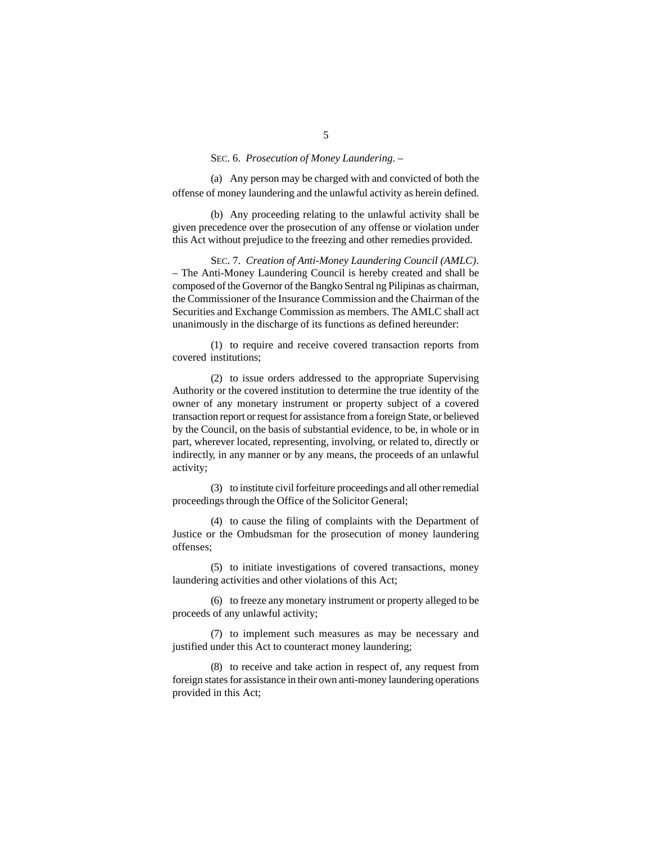## SEC. 6. *Prosecution of Money Laundering*. –

(a) Any person may be charged with and convicted of both the offense of money laundering and the unlawful activity as herein defined.

(b) Any proceeding relating to the unlawful activity shall be given precedence over the prosecution of any offense or violation under this Act without prejudice to the freezing and other remedies provided.

SEC. 7. *Creation of Anti-Money Laundering Council (AMLC)*. – The Anti-Money Laundering Council is hereby created and shall be composed of the Governor of the Bangko Sentral ng Pilipinas as chairman, the Commissioner of the Insurance Commission and the Chairman of the Securities and Exchange Commission as members. The AMLC shall act unanimously in the discharge of its functions as defined hereunder:

(1) to require and receive covered transaction reports from covered institutions;

(2) to issue orders addressed to the appropriate Supervising Authority or the covered institution to determine the true identity of the owner of any monetary instrument or property subject of a covered transaction report or request for assistance from a foreign State, or believed by the Council, on the basis of substantial evidence, to be, in whole or in part, wherever located, representing, involving, or related to, directly or indirectly, in any manner or by any means, the proceeds of an unlawful activity;

(3) to institute civil forfeiture proceedings and all other remedial proceedings through the Office of the Solicitor General;

(4) to cause the filing of complaints with the Department of Justice or the Ombudsman for the prosecution of money laundering offenses;

(5) to initiate investigations of covered transactions, money laundering activities and other violations of this Act;

(6) to freeze any monetary instrument or property alleged to be proceeds of any unlawful activity;

(7) to implement such measures as may be necessary and justified under this Act to counteract money laundering;

(8) to receive and take action in respect of, any request from foreign states for assistance in their own anti-money laundering operations provided in this Act;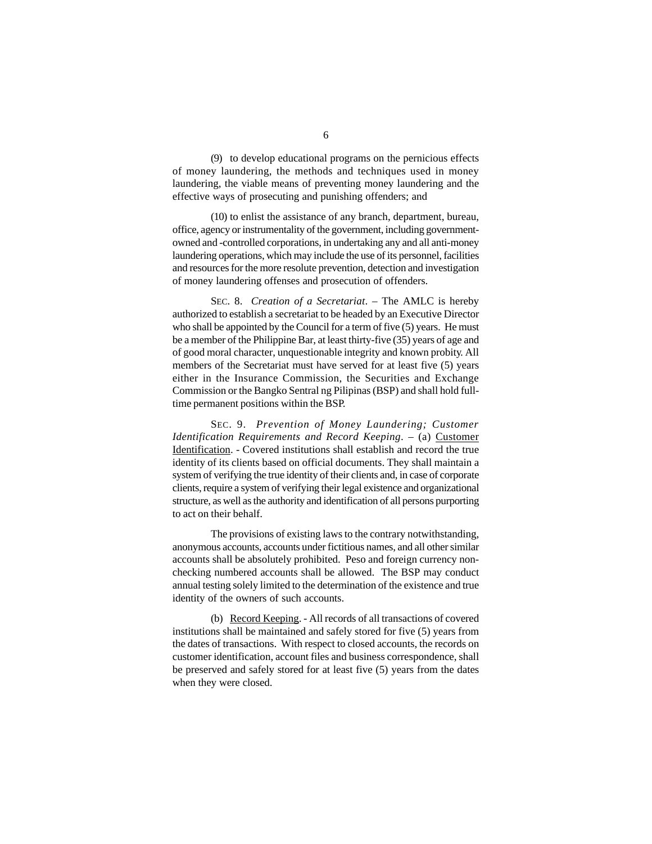(9) to develop educational programs on the pernicious effects of money laundering, the methods and techniques used in money laundering, the viable means of preventing money laundering and the effective ways of prosecuting and punishing offenders; and

(10) to enlist the assistance of any branch, department, bureau, office, agency or instrumentality of the government, including governmentowned and -controlled corporations, in undertaking any and all anti-money laundering operations, which may include the use of its personnel, facilities and resources for the more resolute prevention, detection and investigation of money laundering offenses and prosecution of offenders.

SEC. 8. *Creation of a Secretariat*. – The AMLC is hereby authorized to establish a secretariat to be headed by an Executive Director who shall be appointed by the Council for a term of five (5) years. He must be a member of the Philippine Bar, at least thirty-five (35) years of age and of good moral character, unquestionable integrity and known probity. All members of the Secretariat must have served for at least five (5) years either in the Insurance Commission, the Securities and Exchange Commission or the Bangko Sentral ng Pilipinas (BSP) and shall hold fulltime permanent positions within the BSP.

SEC. 9. *Prevention of Money Laundering; Customer Identification Requirements and Record Keeping*. – (a) Customer Identification. - Covered institutions shall establish and record the true identity of its clients based on official documents. They shall maintain a system of verifying the true identity of their clients and, in case of corporate clients, require a system of verifying their legal existence and organizational structure, as well as the authority and identification of all persons purporting to act on their behalf.

The provisions of existing laws to the contrary notwithstanding, anonymous accounts, accounts under fictitious names, and all other similar accounts shall be absolutely prohibited. Peso and foreign currency nonchecking numbered accounts shall be allowed. The BSP may conduct annual testing solely limited to the determination of the existence and true identity of the owners of such accounts.

(b) Record Keeping. - All records of all transactions of covered institutions shall be maintained and safely stored for five (5) years from the dates of transactions. With respect to closed accounts, the records on customer identification, account files and business correspondence, shall be preserved and safely stored for at least five (5) years from the dates when they were closed.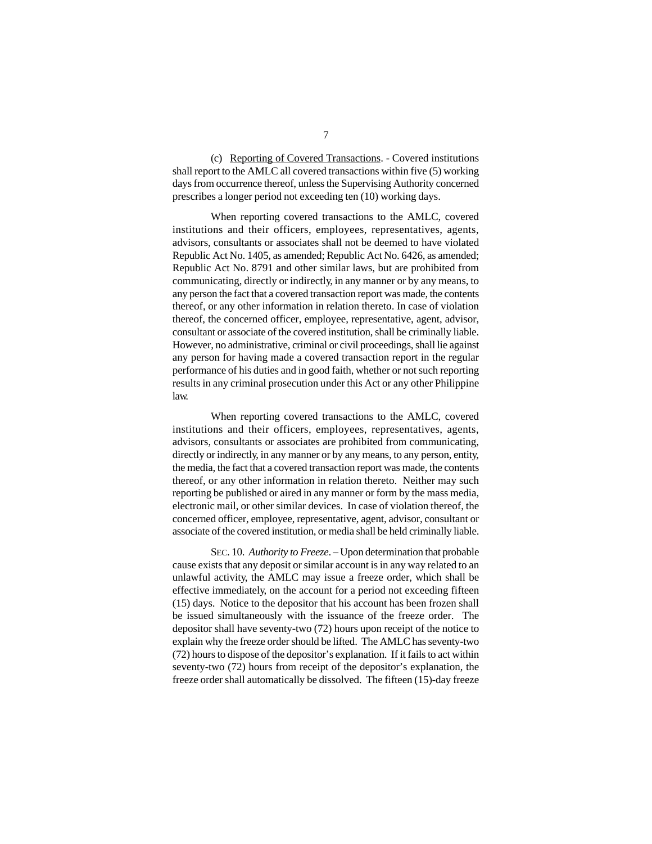(c) Reporting of Covered Transactions. - Covered institutions shall report to the AMLC all covered transactions within five (5) working days from occurrence thereof, unless the Supervising Authority concerned prescribes a longer period not exceeding ten (10) working days.

When reporting covered transactions to the AMLC, covered institutions and their officers, employees, representatives, agents, advisors, consultants or associates shall not be deemed to have violated Republic Act No. 1405, as amended; Republic Act No. 6426, as amended; Republic Act No. 8791 and other similar laws, but are prohibited from communicating, directly or indirectly, in any manner or by any means, to any person the fact that a covered transaction report was made, the contents thereof, or any other information in relation thereto. In case of violation thereof, the concerned officer, employee, representative, agent, advisor, consultant or associate of the covered institution, shall be criminally liable. However, no administrative, criminal or civil proceedings, shall lie against any person for having made a covered transaction report in the regular performance of his duties and in good faith, whether or not such reporting results in any criminal prosecution under this Act or any other Philippine law.

When reporting covered transactions to the AMLC, covered institutions and their officers, employees, representatives, agents, advisors, consultants or associates are prohibited from communicating, directly or indirectly, in any manner or by any means, to any person, entity, the media, the fact that a covered transaction report was made, the contents thereof, or any other information in relation thereto. Neither may such reporting be published or aired in any manner or form by the mass media, electronic mail, or other similar devices. In case of violation thereof, the concerned officer, employee, representative, agent, advisor, consultant or associate of the covered institution, or media shall be held criminally liable.

SEC. 10. *Authority to Freeze*. *–* Upon determination that probable cause exists that any deposit or similar account is in any way related to an unlawful activity, the AMLC may issue a freeze order, which shall be effective immediately, on the account for a period not exceeding fifteen (15) days. Notice to the depositor that his account has been frozen shall be issued simultaneously with the issuance of the freeze order. The depositor shall have seventy-two (72) hours upon receipt of the notice to explain why the freeze order should be lifted. The AMLC has seventy-two (72) hours to dispose of the depositor's explanation. If it fails to act within seventy-two (72) hours from receipt of the depositor's explanation, the freeze order shall automatically be dissolved. The fifteen (15)-day freeze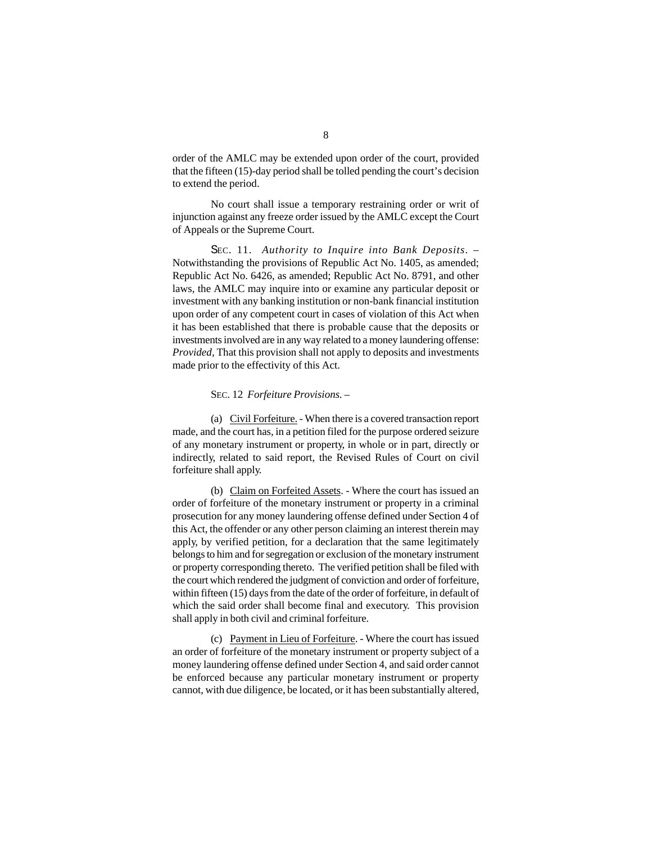order of the AMLC may be extended upon order of the court, provided that the fifteen (15)-day period shall be tolled pending the court's decision to extend the period.

No court shall issue a temporary restraining order or writ of injunction against any freeze order issued by the AMLC except the Court of Appeals or the Supreme Court.

SEC. 11. *Authority to Inquire into Bank Deposits*. – Notwithstanding the provisions of Republic Act No. 1405, as amended; Republic Act No. 6426, as amended; Republic Act No. 8791, and other laws, the AMLC may inquire into or examine any particular deposit or investment with any banking institution or non-bank financial institution upon order of any competent court in cases of violation of this Act when it has been established that there is probable cause that the deposits or investments involved are in any way related to a money laundering offense: *Provided,* That this provision shall not apply to deposits and investments made prior to the effectivity of this Act.

#### SEC. 12 *Forfeiture Provisions. –*

(a) Civil Forfeiture. - When there is a covered transaction report made, and the court has, in a petition filed for the purpose ordered seizure of any monetary instrument or property, in whole or in part, directly or indirectly, related to said report, the Revised Rules of Court on civil forfeiture shall apply.

(b) Claim on Forfeited Assets. - Where the court has issued an order of forfeiture of the monetary instrument or property in a criminal prosecution for any money laundering offense defined under Section 4 of this Act, the offender or any other person claiming an interest therein may apply, by verified petition, for a declaration that the same legitimately belongs to him and for segregation or exclusion of the monetary instrument or property corresponding thereto. The verified petition shall be filed with the court which rendered the judgment of conviction and order of forfeiture, within fifteen (15) days from the date of the order of forfeiture, in default of which the said order shall become final and executory. This provision shall apply in both civil and criminal forfeiture.

(c) Payment in Lieu of Forfeiture. - Where the court has issued an order of forfeiture of the monetary instrument or property subject of a money laundering offense defined under Section 4, and said order cannot be enforced because any particular monetary instrument or property cannot, with due diligence, be located, or it has been substantially altered,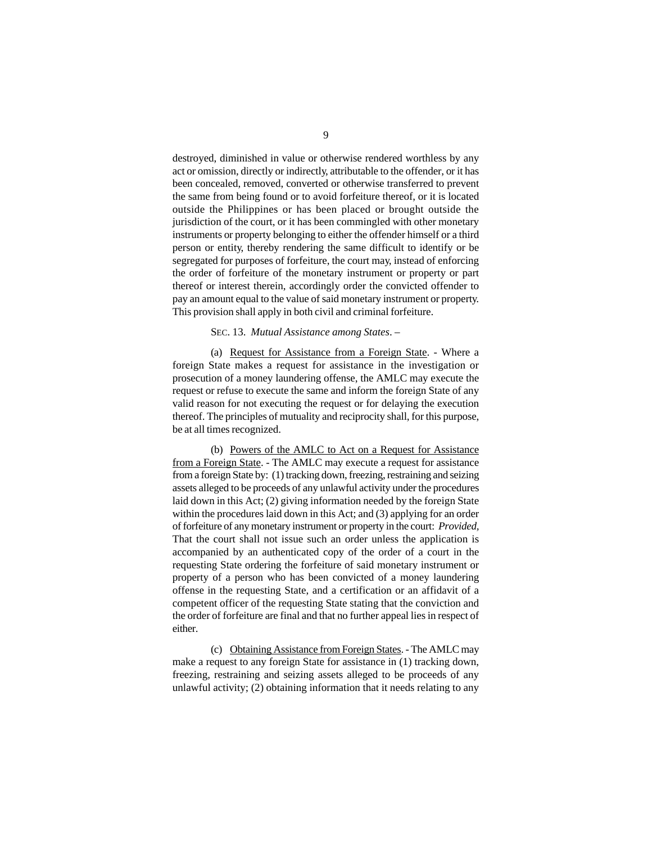destroyed, diminished in value or otherwise rendered worthless by any act or omission, directly or indirectly, attributable to the offender, or it has been concealed, removed, converted or otherwise transferred to prevent the same from being found or to avoid forfeiture thereof, or it is located outside the Philippines or has been placed or brought outside the jurisdiction of the court, or it has been commingled with other monetary instruments or property belonging to either the offender himself or a third person or entity, thereby rendering the same difficult to identify or be segregated for purposes of forfeiture, the court may, instead of enforcing the order of forfeiture of the monetary instrument or property or part thereof or interest therein, accordingly order the convicted offender to pay an amount equal to the value of said monetary instrument or property. This provision shall apply in both civil and criminal forfeiture.

### SEC. 13. *Mutual Assistance among States*. –

(a) Request for Assistance from a Foreign State. - Where a foreign State makes a request for assistance in the investigation or prosecution of a money laundering offense, the AMLC may execute the request or refuse to execute the same and inform the foreign State of any valid reason for not executing the request or for delaying the execution thereof. The principles of mutuality and reciprocity shall, for this purpose, be at all times recognized.

(b) Powers of the AMLC to Act on a Request for Assistance from a Foreign State. - The AMLC may execute a request for assistance from a foreign State by: (1) tracking down, freezing, restraining and seizing assets alleged to be proceeds of any unlawful activity under the procedures laid down in this Act; (2) giving information needed by the foreign State within the procedures laid down in this Act; and (3) applying for an order of forfeiture of any monetary instrument or property in the court: *Provided,* That the court shall not issue such an order unless the application is accompanied by an authenticated copy of the order of a court in the requesting State ordering the forfeiture of said monetary instrument or property of a person who has been convicted of a money laundering offense in the requesting State, and a certification or an affidavit of a competent officer of the requesting State stating that the conviction and the order of forfeiture are final and that no further appeal lies in respect of either.

(c) Obtaining Assistance from Foreign States. - The AMLC may make a request to any foreign State for assistance in (1) tracking down, freezing, restraining and seizing assets alleged to be proceeds of any unlawful activity; (2) obtaining information that it needs relating to any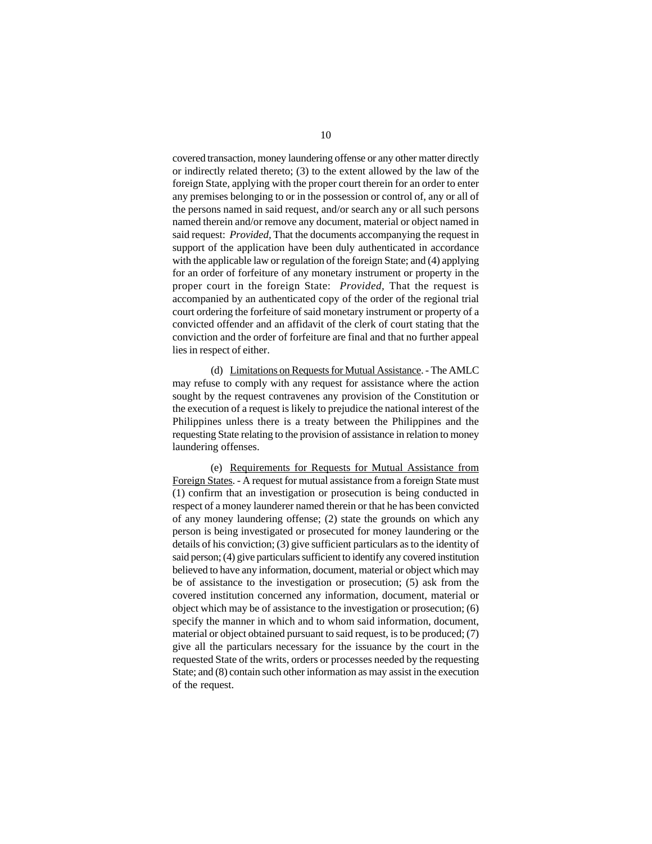covered transaction, money laundering offense or any other matter directly or indirectly related thereto; (3) to the extent allowed by the law of the foreign State, applying with the proper court therein for an order to enter any premises belonging to or in the possession or control of, any or all of the persons named in said request, and/or search any or all such persons named therein and/or remove any document, material or object named in said request: *Provided,* That the documents accompanying the request in support of the application have been duly authenticated in accordance with the applicable law or regulation of the foreign State; and (4) applying for an order of forfeiture of any monetary instrument or property in the proper court in the foreign State: *Provided,* That the request is accompanied by an authenticated copy of the order of the regional trial court ordering the forfeiture of said monetary instrument or property of a convicted offender and an affidavit of the clerk of court stating that the conviction and the order of forfeiture are final and that no further appeal lies in respect of either.

(d) Limitations on Requests for Mutual Assistance. - The AMLC may refuse to comply with any request for assistance where the action sought by the request contravenes any provision of the Constitution or the execution of a request is likely to prejudice the national interest of the Philippines unless there is a treaty between the Philippines and the requesting State relating to the provision of assistance in relation to money laundering offenses.

(e) Requirements for Requests for Mutual Assistance from Foreign States. - A request for mutual assistance from a foreign State must (1) confirm that an investigation or prosecution is being conducted in respect of a money launderer named therein or that he has been convicted of any money laundering offense; (2) state the grounds on which any person is being investigated or prosecuted for money laundering or the details of his conviction; (3) give sufficient particulars as to the identity of said person; (4) give particulars sufficient to identify any covered institution believed to have any information, document, material or object which may be of assistance to the investigation or prosecution; (5) ask from the covered institution concerned any information, document, material or object which may be of assistance to the investigation or prosecution; (6) specify the manner in which and to whom said information, document, material or object obtained pursuant to said request, is to be produced; (7) give all the particulars necessary for the issuance by the court in the requested State of the writs, orders or processes needed by the requesting State; and (8) contain such other information as may assist in the execution of the request.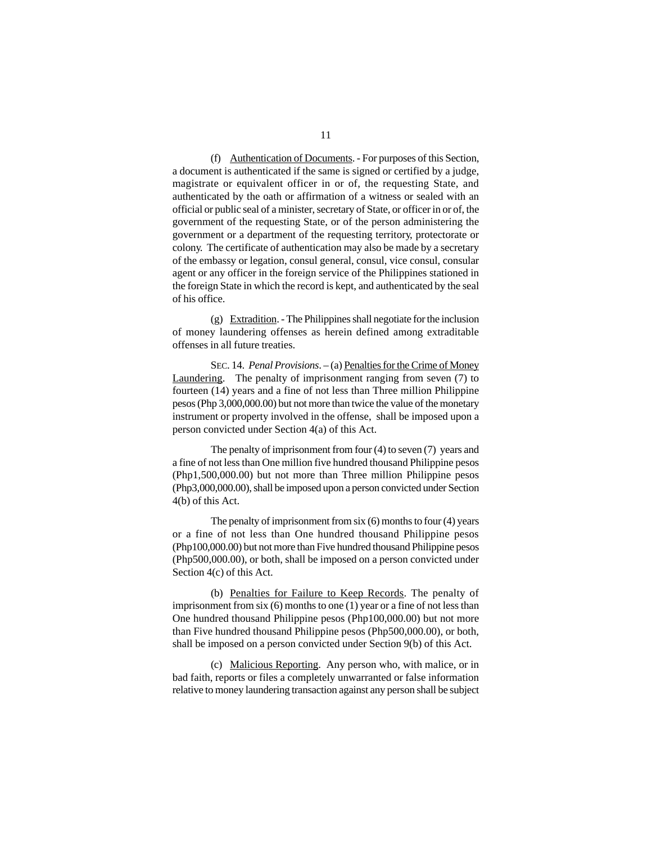(f) Authentication of Documents. - For purposes of this Section, a document is authenticated if the same is signed or certified by a judge, magistrate or equivalent officer in or of, the requesting State, and authenticated by the oath or affirmation of a witness or sealed with an official or public seal of a minister, secretary of State, or officer in or of, the government of the requesting State, or of the person administering the government or a department of the requesting territory, protectorate or colony. The certificate of authentication may also be made by a secretary of the embassy or legation, consul general, consul, vice consul, consular agent or any officer in the foreign service of the Philippines stationed in the foreign State in which the record is kept, and authenticated by the seal of his office.

(g) Extradition. - The Philippines shall negotiate for the inclusion of money laundering offenses as herein defined among extraditable offenses in all future treaties.

SEC. 14. *Penal Provisions*. – (a) Penalties for the Crime of Money Laundering. The penalty of imprisonment ranging from seven (7) to fourteen (14) years and a fine of not less than Three million Philippine pesos (Php 3,000,000.00) but not more than twice the value of the monetary instrument or property involved in the offense, shall be imposed upon a person convicted under Section 4(a) of this Act.

The penalty of imprisonment from four (4) to seven (7) years and a fine of not less than One million five hundred thousand Philippine pesos (Php1,500,000.00) but not more than Three million Philippine pesos (Php3,000,000.00), shall be imposed upon a person convicted under Section 4(b) of this Act.

The penalty of imprisonment from six (6) months to four (4) years or a fine of not less than One hundred thousand Philippine pesos (Php100,000.00) but not more than Five hundred thousand Philippine pesos (Php500,000.00), or both, shall be imposed on a person convicted under Section 4(c) of this Act.

(b) Penalties for Failure to Keep Records. The penalty of imprisonment from six (6) months to one (1) year or a fine of not less than One hundred thousand Philippine pesos (Php100,000.00) but not more than Five hundred thousand Philippine pesos (Php500,000.00), or both, shall be imposed on a person convicted under Section 9(b) of this Act.

(c) Malicious Reporting. Any person who, with malice, or in bad faith, reports or files a completely unwarranted or false information relative to money laundering transaction against any person shall be subject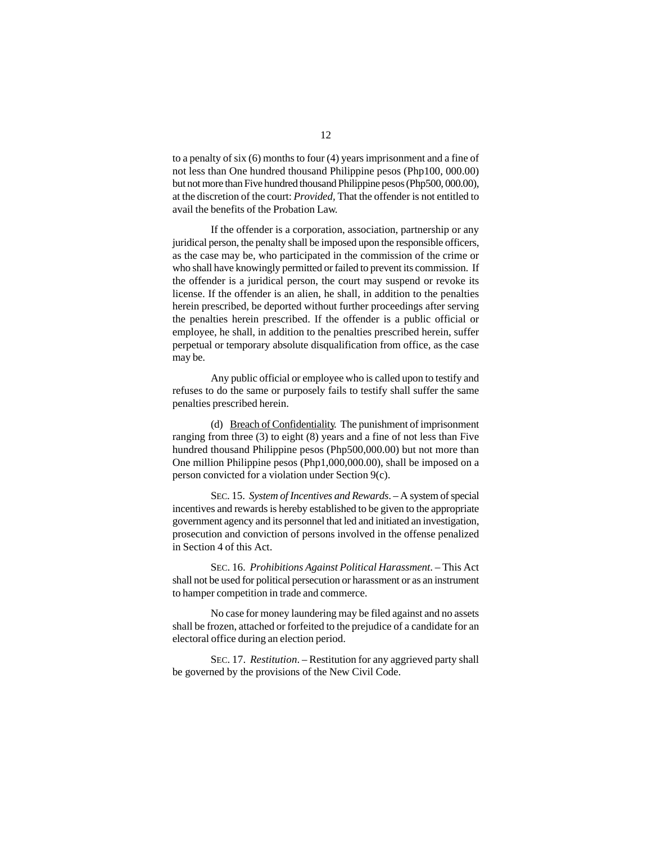to a penalty of six (6) months to four (4) years imprisonment and a fine of not less than One hundred thousand Philippine pesos (Php100, 000.00) but not more than Five hundred thousand Philippine pesos (Php500, 000.00), at the discretion of the court: *Provided,* That the offender is not entitled to avail the benefits of the Probation Law.

If the offender is a corporation, association, partnership or any juridical person, the penalty shall be imposed upon the responsible officers, as the case may be, who participated in the commission of the crime or who shall have knowingly permitted or failed to prevent its commission. If the offender is a juridical person, the court may suspend or revoke its license. If the offender is an alien, he shall, in addition to the penalties herein prescribed, be deported without further proceedings after serving the penalties herein prescribed. If the offender is a public official or employee, he shall, in addition to the penalties prescribed herein, suffer perpetual or temporary absolute disqualification from office, as the case may be.

Any public official or employee who is called upon to testify and refuses to do the same or purposely fails to testify shall suffer the same penalties prescribed herein.

(d) Breach of Confidentiality. The punishment of imprisonment ranging from three (3) to eight (8) years and a fine of not less than Five hundred thousand Philippine pesos (Php500,000.00) but not more than One million Philippine pesos (Php1,000,000.00), shall be imposed on a person convicted for a violation under Section 9(c).

SEC. 15. *System of Incentives and Rewards*. – A system of special incentives and rewards is hereby established to be given to the appropriate government agency and its personnel that led and initiated an investigation, prosecution and conviction of persons involved in the offense penalized in Section 4 of this Act.

SEC. 16. *Prohibitions Against Political Harassment*. – This Act shall not be used for political persecution or harassment or as an instrument to hamper competition in trade and commerce.

No case for money laundering may be filed against and no assets shall be frozen, attached or forfeited to the prejudice of a candidate for an electoral office during an election period.

SEC. 17. *Restitution*. – Restitution for any aggrieved party shall be governed by the provisions of the New Civil Code.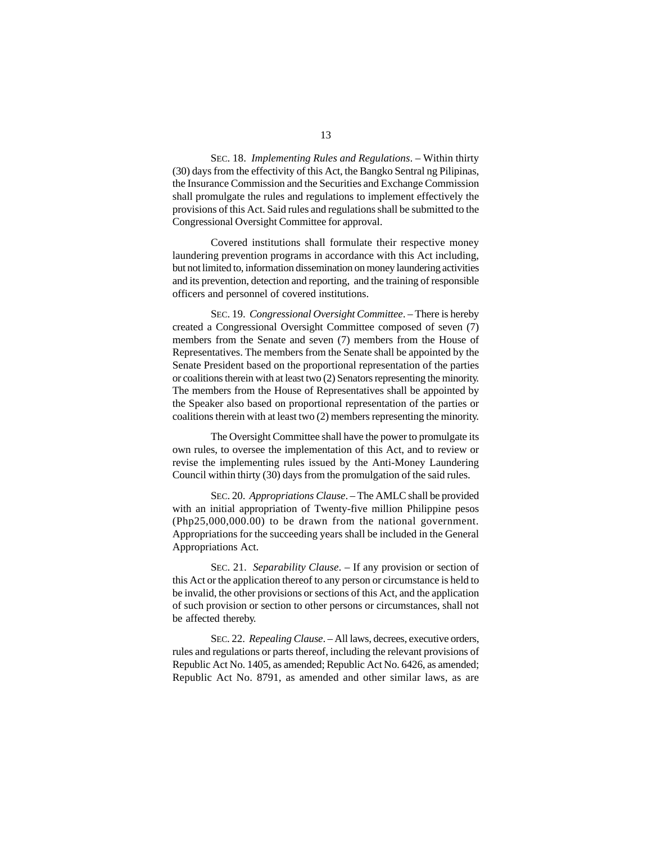SEC. 18. *Implementing Rules and Regulations*. – Within thirty (30) days from the effectivity of this Act, the Bangko Sentral ng Pilipinas, the Insurance Commission and the Securities and Exchange Commission shall promulgate the rules and regulations to implement effectively the provisions of this Act. Said rules and regulations shall be submitted to the Congressional Oversight Committee for approval.

Covered institutions shall formulate their respective money laundering prevention programs in accordance with this Act including, but not limited to, information dissemination on money laundering activities and its prevention, detection and reporting, and the training of responsible officers and personnel of covered institutions.

SEC. 19. *Congressional Oversight Committee*. – There is hereby created a Congressional Oversight Committee composed of seven (7) members from the Senate and seven (7) members from the House of Representatives. The members from the Senate shall be appointed by the Senate President based on the proportional representation of the parties or coalitions therein with at least two (2) Senators representing the minority. The members from the House of Representatives shall be appointed by the Speaker also based on proportional representation of the parties or coalitions therein with at least two (2) members representing the minority.

The Oversight Committee shall have the power to promulgate its own rules, to oversee the implementation of this Act, and to review or revise the implementing rules issued by the Anti-Money Laundering Council within thirty (30) days from the promulgation of the said rules.

SEC. 20. *Appropriations Clause*. – The AMLC shall be provided with an initial appropriation of Twenty-five million Philippine pesos (Php25,000,000.00) to be drawn from the national government. Appropriations for the succeeding years shall be included in the General Appropriations Act.

SEC. 21. *Separability Clause*. – If any provision or section of this Act or the application thereof to any person or circumstance is held to be invalid, the other provisions or sections of this Act, and the application of such provision or section to other persons or circumstances, shall not be affected thereby.

SEC. 22. *Repealing Clause*. – All laws, decrees, executive orders, rules and regulations or parts thereof, including the relevant provisions of Republic Act No. 1405, as amended; Republic Act No. 6426, as amended; Republic Act No. 8791, as amended and other similar laws, as are